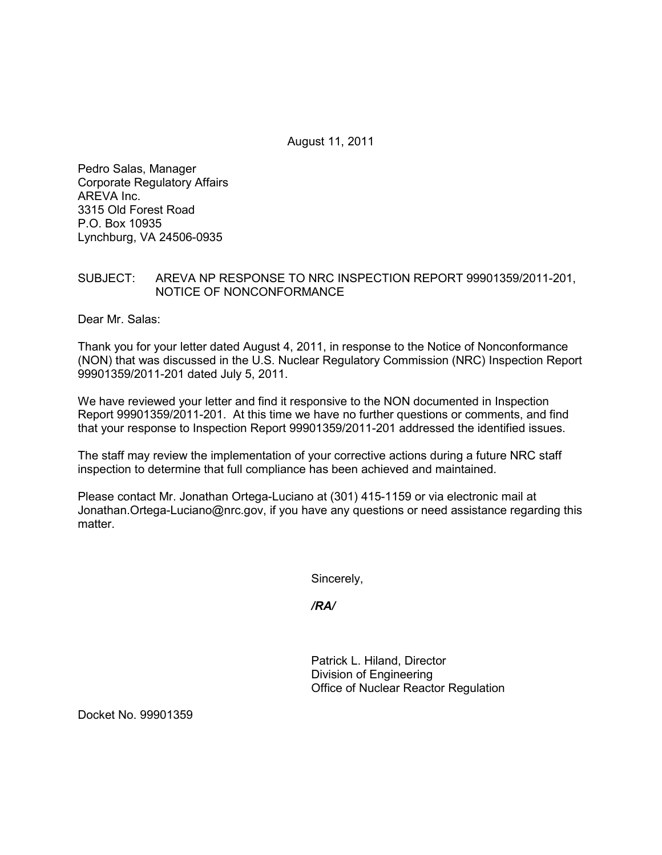August 11, 2011

Pedro Salas, Manager Corporate Regulatory Affairs AREVA Inc. 3315 Old Forest Road P.O. Box 10935 Lynchburg, VA 24506-0935

## SUBJECT: AREVA NP RESPONSE TO NRC INSPECTION REPORT 99901359/2011-201, NOTICE OF NONCONFORMANCE

Dear Mr. Salas:

Thank you for your letter dated August 4, 2011, in response to the Notice of Nonconformance (NON) that was discussed in the U.S. Nuclear Regulatory Commission (NRC) Inspection Report 99901359/2011-201 dated July 5, 2011.

We have reviewed your letter and find it responsive to the NON documented in Inspection Report 99901359/2011-201. At this time we have no further questions or comments, and find that your response to Inspection Report 99901359/2011-201 addressed the identified issues.

The staff may review the implementation of your corrective actions during a future NRC staff inspection to determine that full compliance has been achieved and maintained.

Please contact Mr. Jonathan Ortega-Luciano at (301) 415-1159 or via electronic mail at Jonathan.Ortega-Luciano@nrc.gov, if you have any questions or need assistance regarding this matter.

Sincerely,

*/RA/* 

Patrick L. Hiland, Director Division of Engineering Office of Nuclear Reactor Regulation

Docket No. 99901359